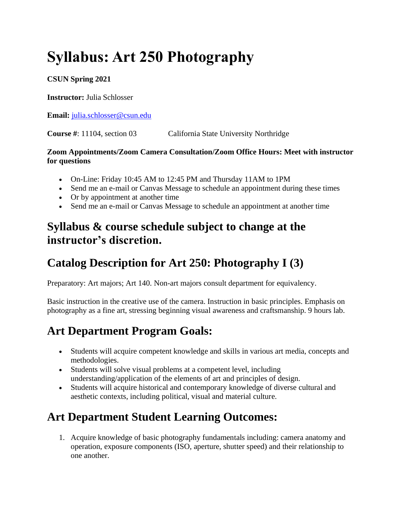# **Syllabus: Art 250 Photography**

#### **CSUN Spring 2021**

**Instructor:** Julia Schlosser

**Email:** [julia.schlosser@csun.edu](mailto:julia.schlosser@csun.edu)

**Course #**: 11104, section 03 California State University Northridge

#### **Zoom Appointments/Zoom Camera Consultation/Zoom Office Hours: Meet with instructor for questions**

- On-Line: Friday 10:45 AM to 12:45 PM and Thursday 11AM to 1PM
- Send me an e-mail or Canvas Message to schedule an appointment during these times
- Or by appointment at another time
- Send me an e-mail or Canvas Message to schedule an appointment at another time

### **Syllabus & course schedule subject to change at the instructor's discretion.**

# **Catalog Description for Art 250: Photography I (3)**

Preparatory: Art majors; Art 140. Non-art majors consult department for equivalency.

Basic instruction in the creative use of the camera. Instruction in basic principles. Emphasis on photography as a fine art, stressing beginning visual awareness and craftsmanship. 9 hours lab.

# **Art Department Program Goals:**

- Students will acquire competent knowledge and skills in various art media, concepts and methodologies.
- Students will solve visual problems at a competent level, including understanding/application of the elements of art and principles of design.
- Students will acquire historical and contemporary knowledge of diverse cultural and aesthetic contexts, including political, visual and material culture.

# **Art Department Student Learning Outcomes:**

1. Acquire knowledge of basic photography fundamentals including: camera anatomy and operation, exposure components (ISO, aperture, shutter speed) and their relationship to one another.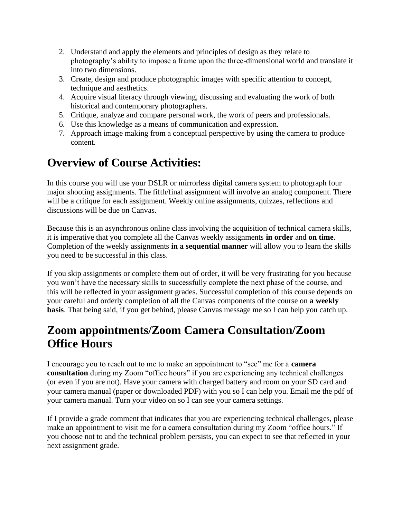- 2. Understand and apply the elements and principles of design as they relate to photography's ability to impose a frame upon the three-dimensional world and translate it into two dimensions.
- 3. Create, design and produce photographic images with specific attention to concept, technique and aesthetics.
- 4. Acquire visual literacy through viewing, discussing and evaluating the work of both historical and contemporary photographers.
- 5. Critique, analyze and compare personal work, the work of peers and professionals.
- 6. Use this knowledge as a means of communication and expression.
- 7. Approach image making from a conceptual perspective by using the camera to produce content.

# **Overview of Course Activities:**

In this course you will use your DSLR or mirrorless digital camera system to photograph four major shooting assignments. The fifth/final assignment will involve an analog component. There will be a critique for each assignment. Weekly online assignments, quizzes, reflections and discussions will be due on Canvas.

Because this is an asynchronous online class involving the acquisition of technical camera skills, it is imperative that you complete all the Canvas weekly assignments **in order** and **on time**. Completion of the weekly assignments **in a sequential manner** will allow you to learn the skills you need to be successful in this class.

If you skip assignments or complete them out of order, it will be very frustrating for you because you won't have the necessary skills to successfully complete the next phase of the course, and this will be reflected in your assignment grades. Successful completion of this course depends on your careful and orderly completion of all the Canvas components of the course on **a weekly basis**. That being said, if you get behind, please Canvas message me so I can help you catch up.

### **Zoom appointments/Zoom Camera Consultation/Zoom Office Hours**

I encourage you to reach out to me to make an appointment to "see" me for a **camera consultation** during my Zoom "office hours" if you are experiencing any technical challenges (or even if you are not). Have your camera with charged battery and room on your SD card and your camera manual (paper or downloaded PDF) with you so I can help you. Email me the pdf of your camera manual. Turn your video on so I can see your camera settings.

If I provide a grade comment that indicates that you are experiencing technical challenges, please make an appointment to visit me for a camera consultation during my Zoom "office hours." If you choose not to and the technical problem persists, you can expect to see that reflected in your next assignment grade.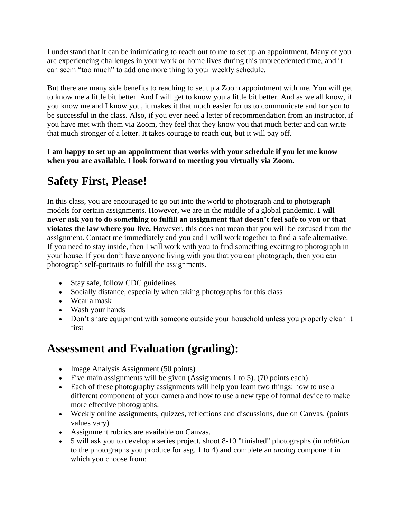I understand that it can be intimidating to reach out to me to set up an appointment. Many of you are experiencing challenges in your work or home lives during this unprecedented time, and it can seem "too much" to add one more thing to your weekly schedule.

But there are many side benefits to reaching to set up a Zoom appointment with me. You will get to know me a little bit better. And I will get to know you a little bit better. And as we all know, if you know me and I know you, it makes it that much easier for us to communicate and for you to be successful in the class. Also, if you ever need a letter of recommendation from an instructor, if you have met with them via Zoom, they feel that they know you that much better and can write that much stronger of a letter. It takes courage to reach out, but it will pay off.

**I am happy to set up an appointment that works with your schedule if you let me know when you are available. I look forward to meeting you virtually via Zoom.**

# **Safety First, Please!**

In this class, you are encouraged to go out into the world to photograph and to photograph models for certain assignments. However, we are in the middle of a global pandemic. **I will never ask you to do something to fulfill an assignment that doesn't feel safe to you or that violates the law where you live.** However, this does not mean that you will be excused from the assignment. Contact me immediately and you and I will work together to find a safe alternative. If you need to stay inside, then I will work with you to find something exciting to photograph in your house. If you don't have anyone living with you that you can photograph, then you can photograph self-portraits to fulfill the assignments.

- Stay safe, follow CDC guidelines
- Socially distance, especially when taking photographs for this class
- Wear a mask
- Wash your hands
- Don't share equipment with someone outside your household unless you properly clean it first

### **Assessment and Evaluation (grading):**

- Image Analysis Assignment (50 points)
- Five main assignments will be given (Assignments 1 to 5). (70 points each)
- Each of these photography assignments will help you learn two things: how to use a different component of your camera and how to use a new type of formal device to make more effective photographs.
- Weekly online assignments, quizzes, reflections and discussions, due on Canvas. (points values vary)
- Assignment rubrics are available on Canvas.
- 5 will ask you to develop a series project, shoot 8-10 "finished" photographs (in *addition* to the photographs you produce for asg. 1 to 4) and complete an *analog* component in which you choose from: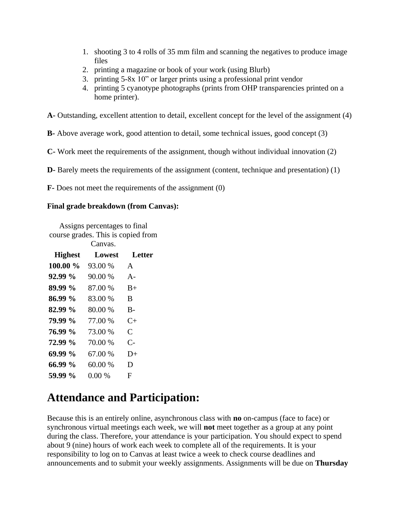- 1. shooting 3 to 4 rolls of 35 mm film and scanning the negatives to produce image files
- 2. printing a magazine or book of your work (using Blurb)
- 3. printing 5-8x 10" or larger prints using a professional print vendor
- 4. printing 5 cyanotype photographs (prints from OHP transparencies printed on a home printer).

**A-** Outstanding, excellent attention to detail, excellent concept for the level of the assignment (4)

**B-** Above average work, good attention to detail, some technical issues, good concept (3)

**C-** Work meet the requirements of the assignment, though without individual innovation (2)

**D-** Barely meets the requirements of the assignment (content, technique and presentation) (1)

**F-** Does not meet the requirements of the assignment (0)

#### **Final grade breakdown (from Canvas):**

Assigns percentages to final course grades. This is copied from

Canvas.

| <b>Highest</b> | Lowest   | Letter       |
|----------------|----------|--------------|
| 100.00 %       | 93.00 %  | $\mathsf{A}$ |
| 92.99 %        | 90.00 %  | $A -$        |
| 89.99 %        | 87.00 %  | $B+$         |
| 86.99 %        | 83.00 %  | B            |
| 82.99 %        | 80.00 %  | $B -$        |
| 79.99 %        | 77.00 %  | $C+$         |
| 76.99 %        | 73.00 %  | C            |
| 72.99 %        | 70.00 %  | $C-$         |
| 69.99 %        | 67.00 %  | $D+$         |
| 66.99 %        | 60.00 %  | D            |
| 59.99 %        | $0.00\%$ | F            |

### **Attendance and Participation:**

Because this is an entirely online, asynchronous class with **no** on-campus (face to face) or synchronous virtual meetings each week, we will **not** meet together as a group at any point during the class. Therefore, your attendance is your participation. You should expect to spend about 9 (nine) hours of work each week to complete all of the requirements. It is your responsibility to log on to Canvas at least twice a week to check course deadlines and announcements and to submit your weekly assignments. Assignments will be due on **Thursday**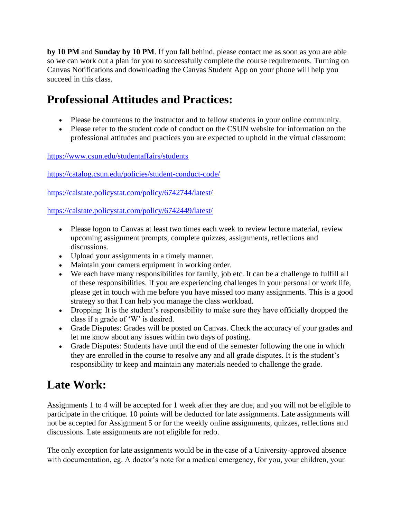**by 10 PM** and **Sunday by 10 PM**. If you fall behind, please contact me as soon as you are able so we can work out a plan for you to successfully complete the course requirements. Turning on Canvas Notifications and downloading the Canvas Student App on your phone will help you succeed in this class.

# **Professional Attitudes and Practices:**

- Please be courteous to the instructor and to fellow students in your online community.
- Please refer to the student code of conduct on the CSUN website for information on the professional attitudes and practices you are expected to uphold in the virtual classroom:

<https://www.csun.edu/studentaffairs/students>

<https://catalog.csun.edu/policies/student-conduct-code/>

<https://calstate.policystat.com/policy/6742744/latest/>

<https://calstate.policystat.com/policy/6742449/latest/>

- Please logon to Canvas at least two times each week to review lecture material, review upcoming assignment prompts, complete quizzes, assignments, reflections and discussions.
- Upload your assignments in a timely manner.
- Maintain your camera equipment in working order.
- We each have many responsibilities for family, job etc. It can be a challenge to fulfill all of these responsibilities. If you are experiencing challenges in your personal or work life, please get in touch with me before you have missed too many assignments. This is a good strategy so that I can help you manage the class workload.
- Dropping: It is the student's responsibility to make sure they have officially dropped the class if a grade of 'W' is desired.
- Grade Disputes: Grades will be posted on Canvas. Check the accuracy of your grades and let me know about any issues within two days of posting.
- Grade Disputes: Students have until the end of the semester following the one in which they are enrolled in the course to resolve any and all grade disputes. It is the student's responsibility to keep and maintain any materials needed to challenge the grade.

### **Late Work:**

Assignments 1 to 4 will be accepted for 1 week after they are due, and you will not be eligible to participate in the critique. 10 points will be deducted for late assignments. Late assignments will not be accepted for Assignment 5 or for the weekly online assignments, quizzes, reflections and discussions. Late assignments are not eligible for redo.

The only exception for late assignments would be in the case of a University-approved absence with documentation, eg. A doctor's note for a medical emergency, for you, your children, your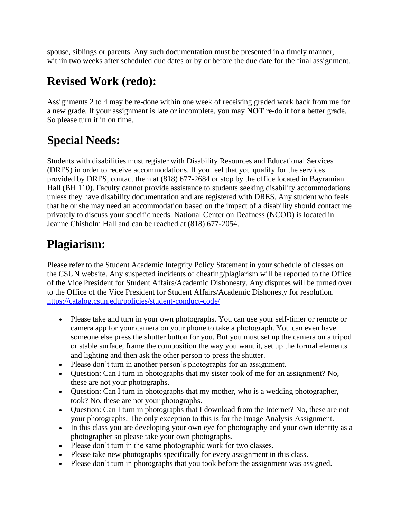spouse, siblings or parents. Any such documentation must be presented in a timely manner, within two weeks after scheduled due dates or by or before the due date for the final assignment.

# **Revised Work (redo):**

Assignments 2 to 4 may be re-done within one week of receiving graded work back from me for a new grade. If your assignment is late or incomplete, you may **NOT** re-do it for a better grade. So please turn it in on time.

# **Special Needs:**

Students with disabilities must register with Disability Resources and Educational Services (DRES) in order to receive accommodations. If you feel that you qualify for the services provided by DRES, contact them at (818) 677-2684 or stop by the office located in Bayramian Hall (BH 110). Faculty cannot provide assistance to students seeking disability accommodations unless they have disability documentation and are registered with DRES. Any student who feels that he or she may need an accommodation based on the impact of a disability should contact me privately to discuss your specific needs. National Center on Deafness (NCOD) is located in Jeanne Chisholm Hall and can be reached at (818) 677-2054.

### **Plagiarism:**

Please refer to the Student Academic Integrity Policy Statement in your schedule of classes on the CSUN website. Any suspected incidents of cheating/plagiarism will be reported to the Office of the Vice President for Student Affairs/Academic Dishonesty. Any disputes will be turned over to the Office of the Vice President for Student Affairs/Academic Dishonesty for resolution. <https://catalog.csun.edu/policies/student-conduct-code/>

- Please take and turn in your own photographs. You can use your self-timer or remote or camera app for your camera on your phone to take a photograph. You can even have someone else press the shutter button for you. But you must set up the camera on a tripod or stable surface, frame the composition the way you want it, set up the formal elements and lighting and then ask the other person to press the shutter.
- Please don't turn in another person's photographs for an assignment.
- Question: Can I turn in photographs that my sister took of me for an assignment? No, these are not your photographs.
- Question: Can I turn in photographs that my mother, who is a wedding photographer, took? No, these are not your photographs.
- Question: Can I turn in photographs that I download from the Internet? No, these are not your photographs. The only exception to this is for the Image Analysis Assignment.
- In this class you are developing your own eye for photography and your own identity as a photographer so please take your own photographs.
- Please don't turn in the same photographic work for two classes.
- Please take new photographs specifically for every assignment in this class.
- Please don't turn in photographs that you took before the assignment was assigned.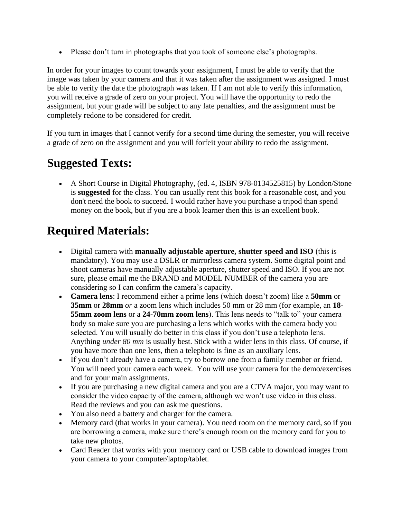• Please don't turn in photographs that you took of someone else's photographs.

In order for your images to count towards your assignment, I must be able to verify that the image was taken by your camera and that it was taken after the assignment was assigned. I must be able to verify the date the photograph was taken. If I am not able to verify this information, you will receive a grade of zero on your project. You will have the opportunity to redo the assignment, but your grade will be subject to any late penalties, and the assignment must be completely redone to be considered for credit.

If you turn in images that I cannot verify for a second time during the semester, you will receive a grade of zero on the assignment and you will forfeit your ability to redo the assignment.

# **Suggested Texts:**

• A Short Course in Digital Photography, (ed. 4, ISBN 978-0134525815) by London/Stone is **suggested** for the class. You can usually rent this book for a reasonable cost, and you don't need the book to succeed. I would rather have you purchase a tripod than spend money on the book, but if you are a book learner then this is an excellent book.

# **Required Materials:**

- Digital camera with **manually adjustable aperture, shutter speed and ISO** (this is mandatory). You may use a DSLR or mirrorless camera system. Some digital point and shoot cameras have manually adjustable aperture, shutter speed and ISO. If you are not sure, please email me the BRAND and MODEL NUMBER of the camera you are considering so I can confirm the camera's capacity.
- **Camera lens**: I recommend either a prime lens (which doesn't zoom) like a **50mm** or **35mm** or **28mm** *or* a zoom lens which includes 50 mm or 28 mm (for example, an **18- 55mm zoom lens** or a **24-70mm zoom lens**). This lens needs to "talk to" your camera body so make sure you are purchasing a lens which works with the camera body you selected. You will usually do better in this class if you don't use a telephoto lens. Anything *under 80 mm* is usually best. Stick with a wider lens in this class. Of course, if you have more than one lens, then a telephoto is fine as an auxiliary lens.
- If you don't already have a camera, try to borrow one from a family member or friend. You will need your camera each week. You will use your camera for the demo/exercises and for your main assignments.
- If you are purchasing a new digital camera and you are a CTVA major, you may want to consider the video capacity of the camera, although we won't use video in this class. Read the reviews and you can ask me questions.
- You also need a battery and charger for the camera.
- Memory card (that works in your camera). You need room on the memory card, so if you are borrowing a camera, make sure there's enough room on the memory card for you to take new photos.
- Card Reader that works with your memory card or USB cable to download images from your camera to your computer/laptop/tablet.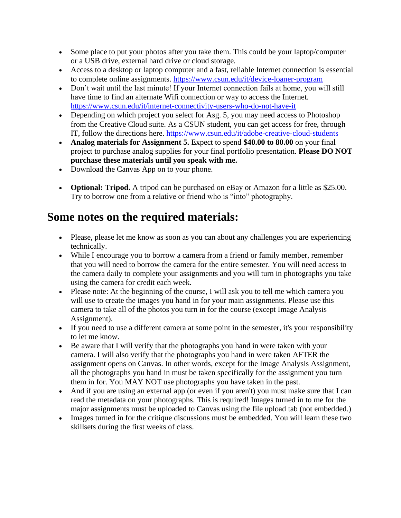- Some place to put your photos after you take them. This could be your laptop/computer or a USB drive, external hard drive or cloud storage.
- Access to a desktop or laptop computer and a fast, reliable Internet connection is essential to complete online assignments.<https://www.csun.edu/it/device-loaner-program>
- Don't wait until the last minute! If your Internet connection fails at home, you will still have time to find an alternate Wifi connection or way to access the Internet. <https://www.csun.edu/it/internet-connectivity-users-who-do-not-have-it>
- Depending on which project you select for Asg. 5, you may need access to Photoshop from the Creative Cloud suite. As a CSUN student, you can get access for free, through IT, follow the directions here.<https://www.csun.edu/it/adobe-creative-cloud-students>
- **Analog materials for Assignment 5.** Expect to spend **\$40.00 to 80.00** on your final project to purchase analog supplies for your final portfolio presentation. **Please DO NOT purchase these materials until you speak with me.**
- Download the Canvas App on to your phone.
- **Optional: Tripod.** A tripod can be purchased on eBay or Amazon for a little as \$25.00. Try to borrow one from a relative or friend who is "into" photography.

### **Some notes on the required materials:**

- Please, please let me know as soon as you can about any challenges you are experiencing technically.
- While I encourage you to borrow a camera from a friend or family member, remember that you will need to borrow the camera for the entire semester. You will need access to the camera daily to complete your assignments and you will turn in photographs you take using the camera for credit each week.
- Please note: At the beginning of the course, I will ask you to tell me which camera you will use to create the images you hand in for your main assignments. Please use this camera to take all of the photos you turn in for the course (except Image Analysis Assignment).
- If you need to use a different camera at some point in the semester, it's your responsibility to let me know.
- Be aware that I will verify that the photographs you hand in were taken with your camera. I will also verify that the photographs you hand in were taken AFTER the assignment opens on Canvas. In other words, except for the Image Analysis Assignment, all the photographs you hand in must be taken specifically for the assignment you turn them in for. You MAY NOT use photographs you have taken in the past.
- And if you are using an external app (or even if you aren't) you must make sure that I can read the metadata on your photographs. This is required! Images turned in to me for the major assignments must be uploaded to Canvas using the file upload tab (not embedded.)
- Images turned in for the critique discussions must be embedded. You will learn these two skillsets during the first weeks of class.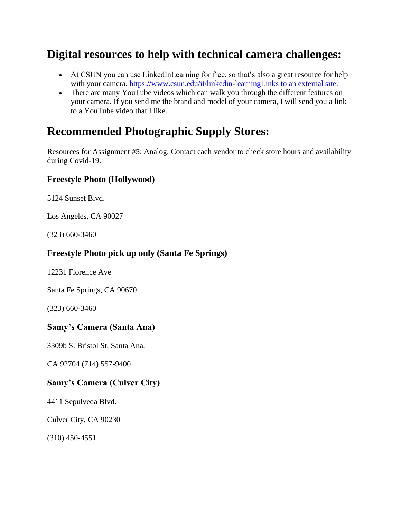### **Digital resources to help with technical camera challenges:**

- At CSUN you can use LinkedInLearning for free, so that's also a great resource for help with your camera. [https://www.csun.edu/it/linkedin-learningLinks to an external site.](https://www.csun.edu/it/linkedin-learningLinks%20to%20an%20external%20site.)
- There are many YouTube videos which can walk you through the different features on your camera. If you send me the brand and model of your camera, I will send you a link to a YouTube video that I like.

#### **Recommended Photographic Supply Stores:**

Resources for Assignment #5: Analog. Contact each vendor to check store hours and availability during Covid-19.

#### **Freestyle Photo (Hollywood)**

5124 Sunset Blvd.

Los Angeles, CA 90027

(323) 660-3460

#### **Freestyle Photo pick up only (Santa Fe Springs)**

12231 Florence Ave

Santa Fe Springs, CA 90670

(323) 660-3460

#### **Samy's Camera (Santa Ana)**

3309b S. Bristol St. Santa Ana,

CA 92704 (714) 557-9400

#### **Samy's Camera (Culver City)**

4411 Sepulveda Blvd.

Culver City, CA 90230

(310) 450-4551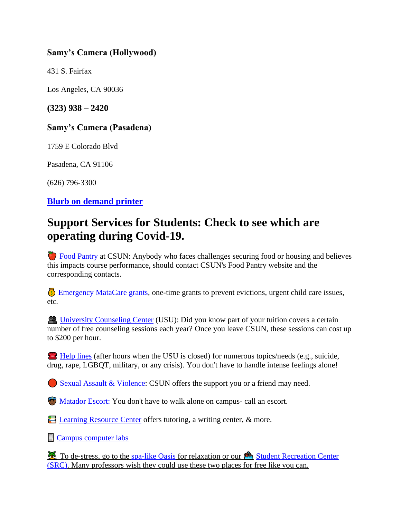#### **Samy's Camera (Hollywood)**

431 S. Fairfax

Los Angeles, CA 90036

**(323) 938 – 2420**

#### **Samy's Camera (Pasadena)**

1759 E Colorado Blvd

Pasadena, CA 91106

(626) 796-3300

#### **[Blurb on demand printer](https://www.blurb.com/)**

### **Support Services for Students: Check to see which are operating during Covid-19.**

 [Food Pantry](http://www.csun.edu/undergraduate-studies/faculty-development/%20https:/www.csun.edu/mic/csun-food-pantry) at CSUN: Anybody who faces challenges securing food or housing and believes this impacts course performance, should contact CSUN's Food Pantry website and the corresponding contacts.

 [Emergency MataCare grants,](https://www.csun.edu/financialaid/matacare-emergency-grant) one-time grants to prevent evictions, urgent child care issues, etc.

 [University Counseling Center](http://www.csun.edu/counseling/students) (USU): Did you know part of your tuition covers a certain number of free counseling sessions each year? Once you leave CSUN, these sessions can cost up to \$200 per hour.

[Help lines](http://www.csun.edu/counseling/urgent-care) (after hours when the USU is closed) for numerous topics/needs (e.g., suicide, drug, rape, LGBQT, military, or any crisis). You don't have to handle intense feelings alone!

[Sexual Assault & Violence:](http://www.csun.edu/eqd/shine-light) CSUN offers the support you or a friend may need.

**[Matador Escort:](http://www.csun.edu/police/matador-patrol)** You don't have to walk alone on campus- call an escort.

E [Learning Resource Center](http://www.csun.edu/undergraduate-studies/learning-resource-center) offers tutoring, a writing center, & more.

**[Campus computer labs](http://www.csun.edu/it/campus-computer-labs)** 

To de-stress, go to the [spa-like Oasis](http://www.csun.edu/oasis/faqs) for relaxation or our Student Recreation Center [\(SRC\).](http://www.csun.edu/src/) Many professors wish they could use these two places for free like you can.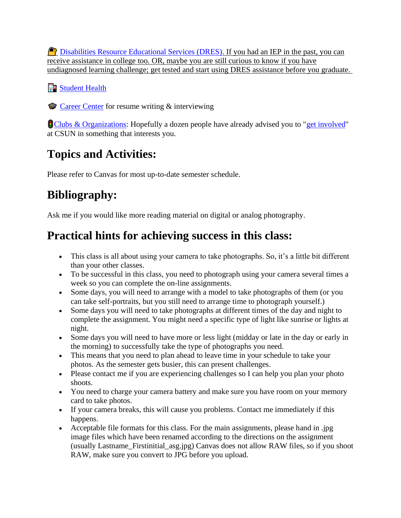**P** [Disabilities Resource Educational Services \(DRES\).](http://www.csun.edu/dres) If you had an IEP in the past, you can receive assistance in college too. OR, maybe you are still curious to know if you have undiagnosed learning challenge; get tested and start using DRES assistance before you graduate.

**Fo** [Student Health](http://www.csun.edu/shc)

[Career Center](http://www.csun.edu/career/services) for resume writing & interviewing

**[Clubs & Organizations:](https://www.csun.edu/mic/club-and-organizations-directory)** Hopefully a dozen people have already advised you to ["get involved"](http://www.csun.edu/studentaffairs/students) at CSUN in something that interests you.

# **Topics and Activities:**

Please refer to Canvas for most up-to-date semester schedule.

# **Bibliography:**

Ask me if you would like more reading material on digital or analog photography.

# **Practical hints for achieving success in this class:**

- This class is all about using your camera to take photographs. So, it's a little bit different than your other classes.
- To be successful in this class, you need to photograph using your camera several times a week so you can complete the on-line assignments.
- Some days, you will need to arrange with a model to take photographs of them (or you can take self-portraits, but you still need to arrange time to photograph yourself.)
- Some days you will need to take photographs at different times of the day and night to complete the assignment. You might need a specific type of light like sunrise or lights at night.
- Some days you will need to have more or less light (midday or late in the day or early in the morning) to successfully take the type of photographs you need.
- This means that you need to plan ahead to leave time in your schedule to take your photos. As the semester gets busier, this can present challenges.
- Please contact me if you are experiencing challenges so I can help you plan your photo shoots.
- You need to charge your camera battery and make sure you have room on your memory card to take photos.
- If your camera breaks, this will cause you problems. Contact me immediately if this happens.
- Acceptable file formats for this class. For the main assignments, please hand in .jpg image files which have been renamed according to the directions on the assignment (usually Lastname\_Firstinitial\_asg.jpg) Canvas does not allow RAW files, so if you shoot RAW, make sure you convert to JPG before you upload.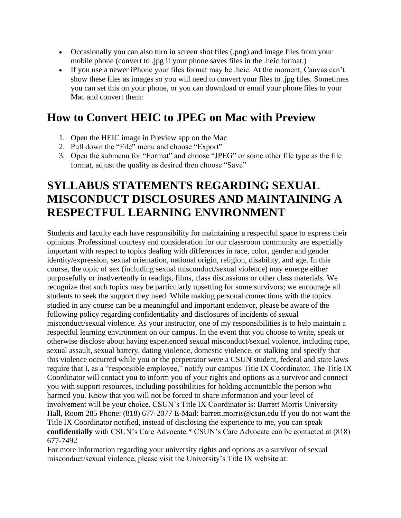- Occasionally you can also turn in screen shot files (.png) and image files from your mobile phone (convert to .jpg if your phone saves files in the .heic format.)
- If you use a newer iPhone your files format may be .heic. At the moment, Canvas can't show these files as images so you will need to convert your files to .jpg files. Sometimes you can set this on your phone, or you can download or email your phone files to your Mac and convert them:

# **How to Convert HEIC to JPEG on Mac with Preview**

- 1. Open the HEIC image in Preview app on the Mac
- 2. Pull down the "File" menu and choose "Export"
- 3. Open the submenu for "Format" and choose "JPEG" or some other file type as the file format, adjust the quality as desired then choose "Save"

# **SYLLABUS STATEMENTS REGARDING SEXUAL MISCONDUCT DISCLOSURES AND MAINTAINING A RESPECTFUL LEARNING ENVIRONMENT**

Students and faculty each have responsibility for maintaining a respectful space to express their opinions. Professional courtesy and consideration for our classroom community are especially important with respect to topics dealing with differences in race, color, gender and gender identity/expression, sexual orientation, national origin, religion, disability, and age. In this course, the topic of sex (including sexual misconduct/sexual violence) may emerge either purposefully or inadvertently in readigs, films, class discussions or other class materials. We recognize that such topics may be particularly upsetting for some survivors; we encourage all students to seek the support they need. While making personal connections with the topics studied in any course can be a meaningful and important endeavor, please be aware of the following policy regarding confidentiality and disclosures of incidents of sexual misconduct/sexual violence. As your instructor, one of my responsibilities is to help maintain a respectful learning environment on our campus. In the event that you choose to write, speak or otherwise disclose about having experienced sexual misconduct/sexual violence, including rape, sexual assault, sexual battery, dating violence, domestic violence, or stalking and specify that this violence occurred while you or the perpetrator were a CSUN student, federal and state laws require that I, as a "responsible employee," notify our campus Title IX Coordinator. The Title IX Coordinator will contact you to inform you of your rights and options as a survivor and connect you with support resources, including possibilities for holding accountable the person who harmed you. Know that you will not be forced to share information and your level of involvement will be your choice. CSUN's Title IX Coordinator is: Barrett Morris University Hall, Room 285 Phone: (818) 677-2077 E-Mail: barrett.morris@csun.edu If you do not want the Title IX Coordinator notified, instead of disclosing the experience to me, you can speak **confidentially** with CSUN's Care Advocate.\* CSUN's Care Advocate can be contacted at (818) 677-7492

For more information regarding your university rights and options as a survivor of sexual misconduct/sexual violence, please visit the University's Title IX website at: